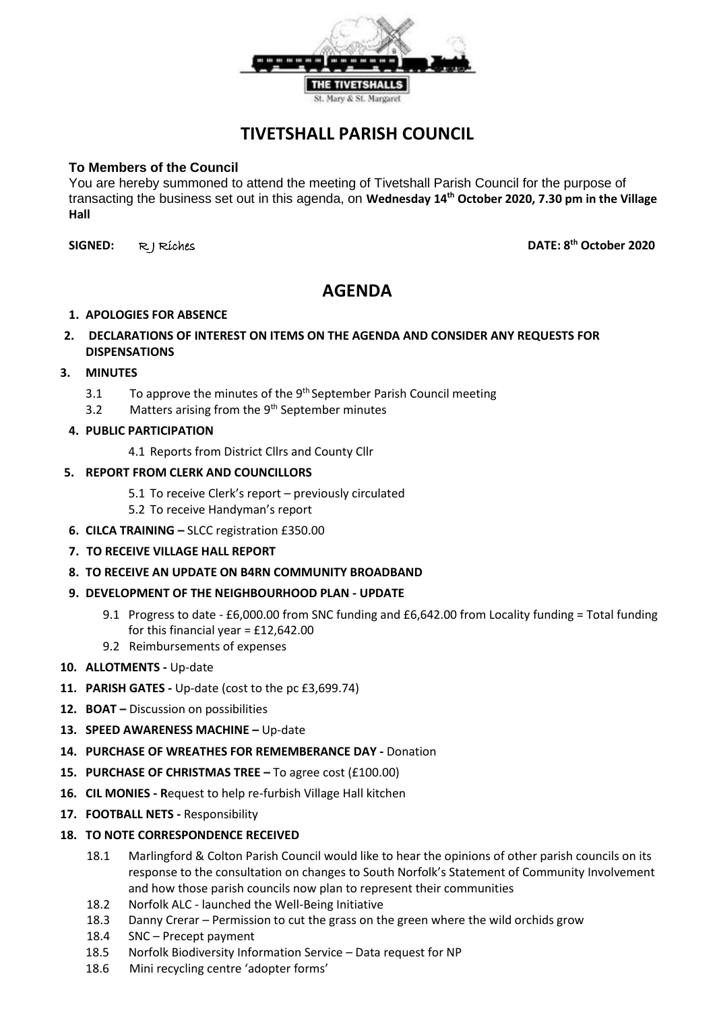

## **TIVETSHALL PARISH COUNCIL**

## **To Members of the Council**

You are hereby summoned to attend the meeting of Tivetshall Parish Council for the purpose of transacting the business set out in this agenda, on **Wednesday 14th October 2020, 7.30 pm in the Village Hall**

**SIGNED:** R J Riches **DATE: 8th October 2020**

# **AGENDA**

## **1. APOLOGIES FOR ABSENCE**

**2. DECLARATIONS OF INTEREST ON ITEMS ON THE AGENDA AND CONSIDER ANY REQUESTS FOR DISPENSATIONS**

## **3. MINUTES**

- 3.1  $\blacksquare$  To approve the minutes of the 9<sup>th</sup> September Parish Council meeting
- 3.2 Matters arising from the  $9<sup>th</sup>$  September minutes
- **4. PUBLIC PARTICIPATION**

4.1 Reports from District Cllrs and County Cllr

#### **5. REPORT FROM CLERK AND COUNCILLORS**

- 5.1 To receive Clerk's report previously circulated
- 5.2 To receive Handyman's report
- **6. CILCA TRAINING –** SLCC registration £350.00
- **7. TO RECEIVE VILLAGE HALL REPORT**
- **8. TO RECEIVE AN UPDATE ON B4RN COMMUNITY BROADBAND**
- **9. DEVELOPMENT OF THE NEIGHBOURHOOD PLAN - UPDATE**
	- 9.1 Progress to date £6,000.00 from SNC funding and £6,642.00 from Locality funding = Total funding for this financial year =  $£12,642.00$
	- 9.2 Reimbursements of expenses
- **10. ALLOTMENTS -** Up-date
- **11. PARISH GATES -** Up-date (cost to the pc £3,699.74)
- **12. BOAT –** Discussion on possibilities
- **13. SPEED AWARENESS MACHINE –** Up-date
- **14. PURCHASE OF WREATHES FOR REMEMBERANCE DAY -** Donation
- **15. PURCHASE OF CHRISTMAS TREE –** To agree cost (£100.00)
- **16. CIL MONIES - R**equest to help re-furbish Village Hall kitchen
- **17. FOOTBALL NETS -** Responsibility

#### **18. TO NOTE CORRESPONDENCE RECEIVED**

- 18.1 Marlingford & Colton Parish Council would like to hear the opinions of other parish councils on its response to the consultation on changes to South Norfolk's Statement of Community Involvement and how those parish councils now plan to represent their communities
- 18.2 Norfolk ALC launched the Well-Being Initiative
- 18.3 Danny Crerar Permission to cut the grass on the green where the wild orchids grow
- 18.4 SNC Precept payment
- 18.5 Norfolk Biodiversity Information Service Data request for NP
- 18.6 Mini recycling centre 'adopter forms'